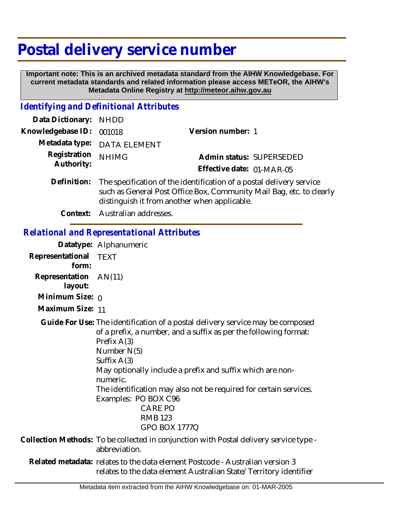# **Postal delivery service number**

 **Important note: This is an archived metadata standard from the AIHW Knowledgebase. For current metadata standards and related information please access METeOR, the AIHW's Metadata Online Registry at http://meteor.aihw.gov.au**

#### *Identifying and Definitional Attributes*

| Data Dictionary: NHDD      |                                                                                                                                                                                              |                                                       |
|----------------------------|----------------------------------------------------------------------------------------------------------------------------------------------------------------------------------------------|-------------------------------------------------------|
| Knowledgebase ID:          | 001018                                                                                                                                                                                       | Version number: 1                                     |
|                            | Metadata type: DATA ELEMENT                                                                                                                                                                  |                                                       |
| Registration<br>Authority: | <b>NHIMG</b>                                                                                                                                                                                 | Admin status: SUPERSEDED<br>Effective date: 01-MAR-05 |
| Definition:                | The specification of the identification of a postal delivery service<br>such as General Post Office Box, Community Mail Bag, etc. to clearly<br>distinguish it from another when applicable. |                                                       |

**Context:** Australian addresses.

#### *Relational and Representational Attributes*

**Datatype:** Alphanumeric

**Representational** TEXT  **form:**

**Representation** AN(11)  **layout:**

**Minimum Size: 0** 

**Maximum Size:** 11

Guide For Use: The identification of a postal delivery service may be composed of a prefix, a number, and a suffix as per the following format: Prefix A(3) Number N(5) Suffix A(3) May optionally include a prefix and suffix which are nonnumeric.

> The identification may also not be required for certain services. Examples: PO BOX C96

## CARE PO RMB 123

GPO BOX 1777Q

Collection Methods: To be collected in conjunction with Postal delivery service type abbreviation.

Related metadata: relates to the data element Postcode - Australian version 3 relates to the data element Australian State/Territory identifier